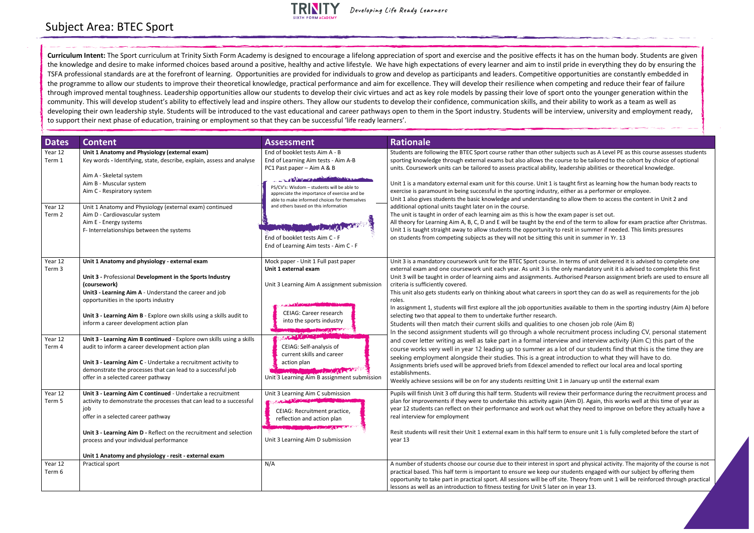

Developing Life Ready Learners

| <b>Dates</b>      | <b>Content</b>                                                                                                                                                                                                                                                                                                                                 | <b>Assessment</b>                                                                                                                                                                                                             | <b>Rationale</b>                                                                                                                                                                                                                                                                                                                                                                                                                                                                                                                                                           |
|-------------------|------------------------------------------------------------------------------------------------------------------------------------------------------------------------------------------------------------------------------------------------------------------------------------------------------------------------------------------------|-------------------------------------------------------------------------------------------------------------------------------------------------------------------------------------------------------------------------------|----------------------------------------------------------------------------------------------------------------------------------------------------------------------------------------------------------------------------------------------------------------------------------------------------------------------------------------------------------------------------------------------------------------------------------------------------------------------------------------------------------------------------------------------------------------------------|
| Year 12<br>Term 1 | Unit 1 Anatomy and Physiology (external exam)<br>Key words - Identifying, state, describe, explain, assess and analyse<br>Aim A - Skeletal system<br>Aim B - Muscular system<br>Aim C - Respiratory system                                                                                                                                     | End of booklet tests Aim A - B<br>End of Learning Aim tests - Aim A-B<br>PC1 Past paper - Aim A & B<br><b>A YO LANGALAY ANG</b><br>PS/CV's: Wisdom – students will be able to<br>appreciate the importance of exercise and be | Students are following the BTEC Sport course rather than other subjet<br>sporting knowledge through external exams but also allows the cours<br>units. Coursework units can be tailored to assess practical ability, lead<br>Unit 1 is a mandatory external exam unit for this course. Unit 1 is taug<br>exercise is paramount in being successful in the sporting industry, eith                                                                                                                                                                                          |
| Year 12<br>Term 2 | Unit 1 Anatomy and Physiology (external exam) continued<br>Aim D - Cardiovascular system<br>Aim E - Energy systems<br>F- Interrelationships between the systems                                                                                                                                                                                | able to make informed choices for themselves<br>and others based on this information<br>End of booklet tests Aim C - F<br>End of Learning Aim tests - Aim C - F                                                               | Unit 1 also gives students the basic knowledge and understanding to a<br>additional optional units taught later on in the course.<br>The unit is taught in order of each learning aim as this is how the exar<br>All theory for Learning Aim A, B, C, D and E will be taught by the end of<br>Unit 1 is taught straight away to allow students the opportunity to res<br>on students from competing subjects as they will not be sitting this ur                                                                                                                           |
| Year 12<br>Term 3 | Unit 1 Anatomy and physiology - external exam<br>Unit 3 - Professional Development in the Sports Industry<br>(coursework)<br>Unit3 - Learning Aim A - Understand the career and job<br>opportunities in the sports industry<br>Unit 3 - Learning Aim B - Explore own skills using a skills audit to<br>inform a career development action plan | Mock paper - Unit 1 Full past paper<br>Unit 1 external exam<br>Unit 3 Learning Aim A assignment submission<br><b>CEIAG: Career research</b><br>into the sports industry<br><b>CONTRACTOR</b>                                  | Unit 3 is a mandatory coursework unit for the BTEC Sport course. In to<br>external exam and one coursework unit each year. As unit 3 is the onl<br>Unit 3 will be taught in order of learning aims and assignments. Autho<br>criteria is sufficiently covered.<br>This unit also gets students early on thinking about what careers in sp<br>roles.<br>In assignment 1, students will first explore all the job opportunities av<br>selecting two that appeal to them to undertake further research.<br>Students will then match their current skills and qualities to one |
| Year 12<br>Term 4 | Unit 3 - Learning Aim B continued - Explore own skills using a skills<br>audit to inform a career development action plan<br>Unit 3 - Learning Aim C - Undertake a recruitment activity to<br>demonstrate the processes that can lead to a successful job<br>offer in a selected career pathway                                                | <b>CALL CALL CALL AND</b><br>CEIAG: Self-analysis of<br>current skills and career<br>action plan<br>MARKET STATE TO THE REAL PROPERTY.<br>Unit <sup>3</sup> Learning Aim B assignment submission                              | In the second assignment students will go through a whole recru<br>and cover letter writing as well as take part in a formal interview<br>course works very well in year 12 leading up to summer as a lot<br>seeking employment alongside their studies. This is a great intro<br>Assignments briefs used will be approved briefs from Edexcel amende<br>establishments.<br>Weekly achieve sessions will be on for any students resitting Unit 1 in                                                                                                                        |
| Year 12<br>Term 5 | Unit 3 - Learning Aim C continued - Undertake a recruitment<br>activity to demonstrate the processes that can lead to a successful<br>iob<br>offer in a selected career pathway<br>Unit 3 - Learning Aim D - Reflect on the recruitment and selection<br>process and your individual performance                                               | Unit 3 Learning Aim C submission<br><b>CALL AND MANAGEMENT</b><br>CEIAG: Recruitment practice,<br>reflection and action plan<br>Unit 3 Learning Aim D submission                                                              | Pupils will finish Unit 3 off during this half term. Students will review t<br>plan for improvements if they were to undertake this activity again (A<br>year 12 students can reflect on their performance and work out what<br>real interview for employment<br>Resit students will resit their Unit 1 external exam in this half term to<br>year 13                                                                                                                                                                                                                      |
| Year 12<br>Term 6 | Unit 1 Anatomy and physiology - resit - external exam<br>Practical sport                                                                                                                                                                                                                                                                       | N/A                                                                                                                                                                                                                           | A number of students choose our course due to their interest in sport<br>practical based. This half term is important to ensure we keep our stu<br>opportunity to take part in practical sport. All sessions will be off site.<br>lessons as well as an introduction to fitness testing for Unit 5 later on                                                                                                                                                                                                                                                                |

ects such as A Level PE as this course assesses students se to be tailored to the cohort by choice of optional dership abilities or theoretical knowledge.

ght first as learning how the human body reacts to her as a performer or employee. allow them to access the content in Unit 2 and

m paper is set out. of the term to allow for exam practice after Christmas. sit in summer if needed. This limits pressures nit in summer in Yr. 13

erms of unit delivered it is advised to complete one. lly mandatory unit it is advised to complete this first orised Pearson assignment briefs are used to ensure all

port they can do as well as requirements for the job

vailable to them in the sporting industry (Aim A) before

chosen job role (Aim B)

uitment process including CV, personal statement and interview activity (Aim C) this part of the of our students find that this is the time they are oduction to what they will have to do. ed to reflect our local area and local sporting

I January up until the external exam

their performance during the recruitment process and Aim D). Again, this works well at this time of year as t they need to improve on before they actually have a

ensure unit 1 is fully completed before the start of

t and physical activity. The majority of the course is not adents engaged with our subject by offering them . Theory from unit 1 will be reinforced through practical in year 13.

## Subject Area: BTEC Sport

**Curriculum Intent:** The Sport curriculum at Trinity Sixth Form Academy is designed to encourage a lifelong appreciation of sport and exercise and the positive effects it has on the human body. Students are given the knowledge and desire to make informed choices based around a positive, healthy and active lifestyle. We have high expectations of every learner and aim to instil pride in everything they do by ensuring the TSFA professional standards are at the forefront of learning. Opportunities are provided for individuals to grow and develop as participants and leaders. Competitive opportunities are constantly embedded in the programme to allow our students to improve their theoretical knowledge, practical performance and aim for excellence. They will develop their resilience when competing and reduce their fear of failure through improved mental toughness. Leadership opportunities allow our students to develop their civic virtues and act as key role models by passing their love of sport onto the younger generation within the community. This will develop student's ability to effectively lead and inspire others. They allow our students to develop their confidence, communication skills, and their ability to work as a team as well as developing their own leadership style. Students will be introduced to the vast educational and career pathways open to them in the Sport industry. Students will be interview, university and employment ready, to support their next phase of education, training or employment so that they can be successful 'life ready learners'.